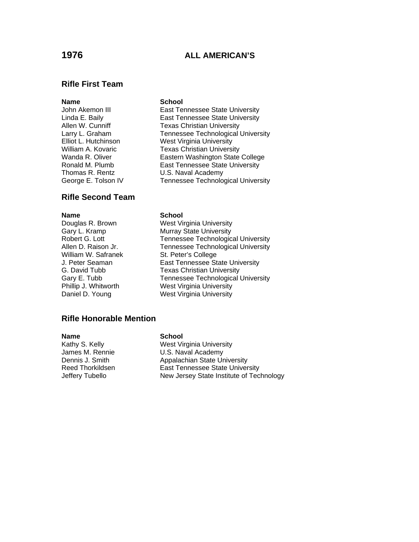# **1976 ALL AMERICAN'S**

## **Rifle First Team**

Thomas R. Rentz **U.S. Naval Academy** 

# **Rifle Second Team**

William W. Safranek St. Peter's College

### **Name** School

John Akemon III **East Tennessee State University** Linda E. Baily East Tennessee State University Allen W. Cunniff Texas Christian University Larry L. Graham Tennessee Technological University Elliot L. Hutchinson West Virginia University William A. Kovaric **Texas Christian University** Wanda R. Oliver **Eastern Washington State College** Ronald M. Plumb East Tennessee State University George E. Tolson IV Tennessee Technological University

### **Name** School

Douglas R. Brown West Virginia University Gary L. Kramp Murray State University Robert G. Lott Tennessee Technological University Allen D. Raison Jr. Tennessee Technological University J. Peter Seaman East Tennessee State University G. David Tubb Texas Christian University<br>Gary E. Tubb Tennessee Technological Tennessee Technological University Phillip J. Whitworth West Virginia University Daniel D. Young West Virginia University

# **Rifle Honorable Mention**

### **Name** School

Kathy S. Kelly West Virginia University James M. Rennie U.S. Naval Academy Dennis J. Smith Appalachian State University Reed Thorkildsen **East Tennessee State University** Jeffery Tubello New Jersey State Institute of Technology